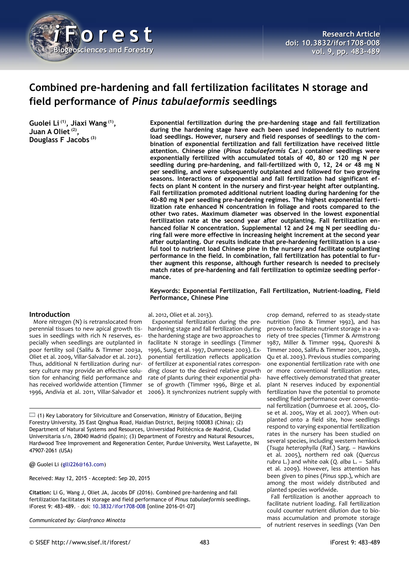

# **Combined pre-hardening and fall fertilization facilitates N storage and field performance of** *Pinus tabulaeformis* **seedlings**

**Guolei Li (1), Jiaxi Wang (1) , Juan A Oliet (2) , Douglass F Jacobs (3)**

**Exponential fertilization during the pre-hardening stage and fall fertilization during the hardening stage have each been used independently to nutrient load seedlings. However, nursery and field responses of seedlings to the combination of exponential fertilization and fall fertilization have received little attention. Chinese pine (***Pinus tabulaeformis* **Car.) container seedlings were exponentially fertilized with accumulated totals of 40, 80 or 120 mg N per seedling during pre-hardening, and fall-fertilized with 0, 12, 24 or 48 mg N per seedling, and were subsequently outplanted and followed for two growing seasons. Interactions of exponential and fall fertilization had significant effects on plant N content in the nursery and first-year height after outplanting. Fall fertilization promoted additional nutrient loading during hardening for the 40-80 mg N per seedling pre-hardening regimes. The highest exponential fertilization rate enhanced N concentration in foliage and roots compared to the other two rates. Maximum diameter was observed in the lowest exponential fertilization rate at the second year after outplanting. Fall fertilization enhanced foliar N concentration. Supplemental 12 and 24 mg N per seedling during fall were more effective in increasing height increment at the second year after outplanting. Our results indicate that pre-hardening fertilization is a useful tool to nutrient load Chinese pine in the nursery and facilitate outplanting performance in the field. In combination, fall fertilization has potential to further augment this response, although further research is needed to precisely match rates of pre-hardening and fall fertilization to optimize seedling performance.**

**Keywords: Exponential Fertilization, Fall Fertilization, Nutrient-loading, Field Performance, Chinese Pine**

### **Introduction**

More nitrogen (N) is retranslocated from perennial tissues to new apical growth tissues in seedlings with rich N reserves, especially when seedlings are outplanted in poor fertility soil (Salifu & Timmer 2003a, Oliet et al. 2009, Villar-Salvador et al. 2012). Thus, additional N fertilization during nursery culture may provide an effective solution for enhancing field performance and has received worldwide attention (Timmer 1996, Andivia et al. 2011, Villar-Salvador et al. 2012, Oliet et al. 2013).

Exponential fertilization during the prehardening stage and fall fertilization during the hardening stage are two approaches to facilitate N storage in seedlings (Timmer 1996, Sung et al. 1997, Dumroese 2003). Exponential fertilization reflects application of fertilizer at exponential rates corresponding closer to the desired relative growth rate of plants during their exponential phase of growth (Timmer 1996, Birge et al. 2006). It synchronizes nutrient supply with

 $\Box$  (1) Key Laboratory for Silviculture and Conservation, Ministry of Education, Beijing Forestry University, 35 East Qinghua Road, Haidian District, Beijing 100083 (China); (2) Department of Natural Systems and Resources, Universidad Politécnica de Madrid, Ciudad Universitaria s/n, 28040 Madrid (Spain); (3) Department of Forestry and Natural Resources, Hardwood Tree Improvement and Regeneration Center, Purdue University, West Lafayette, IN 47907-2061 (USA)

@ Guolei Li [\(glli226@163.com\)](mailto:glli226@163.com)

Received: May 12, 2015 - Accepted: Sep 20, 2015

**Citation:** Li G, Wang J, Oliet JA, Jacobs DF (2016). Combined pre-hardening and fall fertilization facilitates N storage and field performance of *Pinus tabulaeformis* seedlings. iForest 9: 483-489. – doi: [10.3832/ifor1708-008](http://www.sisef.it/iforest/contents/?id=ifor1708-008) [online 2016-01-07]

*Communicated by: Gianfranco Minotta*

crop demand, referred to as steady-state nutrition (Imo & Timmer 1992), and has proven to facilitate nutrient storage in a variety of tree species (Timmer & Armstrong 1987, Miller & Timmer 1994, Quoreshi & Timmer 2000, Salifu & Timmer 2001, 2003b, Qu et al. 2003). Previous studies comparing one exponential fertilization rate with one or more conventional fertilization rates, have effectively demonstrated that greater plant N reserves induced by exponential fertilization have the potential to promote seedling field performance over conventional fertilization (Dumroese et al. 2005, Close et al. 2005, Way et al. 2007). When outplanted onto a field site, how seedlings respond to varying exponential fertilization rates in the nursery has been studied on several species, including western hemlock (*Tsuga heterophylla* (Raf.) Sarg. – Hawkins et al. 2005), northern red oak (*Quercus rubra* L.) and white oak (*Q. alba* L. – Salifu et al. 2009). However, less attention has been given to pines (*Pinus* spp.), which are among the most widely distributed and planted species worldwide.

Fall fertilization is another approach to facilitate nutrient loading. Fall fertilization could counter nutrient dilution due to biomass accumulation and promote storage of nutrient reserves in seedlings (Van Den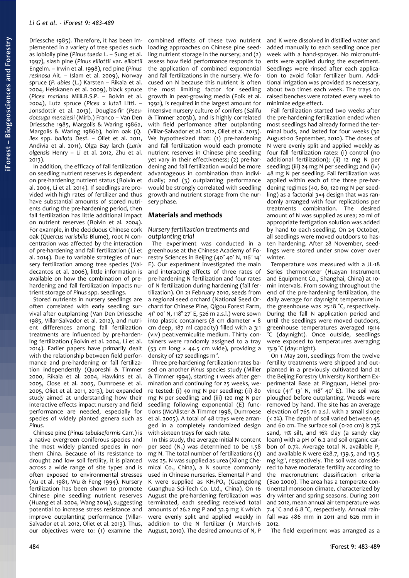Driessche 1985). Therefore, it has been implemented in a variety of tree species such as loblolly pine (*Pinus taeda* L. – Sung et al. 1997), slash pine (*Pinus elliottii* var. *elliottii* Engelm. – Irwin et al. 1998), red pine (*Pinus resinosa* Ait. – Islam et al. 2009), Norway spruce (*P. abies* (L.) Karsten – Rikala et al. 2004, Heiskanen et al. 2009), black spruce (*Picea mariana* Milli.B.S.P. – Boivin et al. 2004), Lutz spruce (*Picea x lutzii* Littl. – Jonsdottir et al. 2013), Douglas-fir (*Pseudotsuga menziesii* (Mirb.) Franco – Van Den Driessche 1985, Margolis & Waring 1986a, Margolis & Waring 1986b), holm oak (*Q. ilex* spp. *ballota* Desf. – Oliet et al. 2011, Andivia et al. 2011), Olga Bay larch (*Larix olgensis* Henry – Li et al. 2012, Zhu et al. 2013).

In addition, the efficacy of fall fertilization on seedling nutrient reserves is dependent on pre-hardening nutrient status (Boivin et al. 2004, Li et al. 2014). If seedlings are provided with high rates of fertilizer and thus have substantial amounts of stored nutrients during the pre-hardening period, then fall fertilization has little additional impact on nutrient reserves (Boivin et al. 2004). For example, in the deciduous Chinese cork oak (*Quercus variabilis* Blume), root N concentration was affected by the interaction of pre-hardening and fall fertilization (Li et al. 2014). Due to variable strategies of nursery fertilization among tree species (Valdecantos et al. 2006), little information is available on how the combination of prehardening and fall fertilization impacts nutrient storage of *Pinus* spp. seedlings.

Stored nutrients in nursery seedlings are often correlated with early seedling survival after outplanting (Van Den Driessche 1985, Villar-Salvador et al. 2012), and nutrient differences among fall fertilization treatments are influenced by pre-hardening fertilization (Boivin et al. 2004, Li et al. 2014). Earlier papers have primarily dealt with the relationship between field performance and pre-hardening or fall fertilization independently (Quoreshi & Timmer 2000, Rikala et al. 2004, Hawkins et al. 2005, Close et al. 2005, Dumroese et al. 2005, Oliet et al. 2011, 2013), but expanded study aimed at understanding how their interactive effects impact nursery and field performance are needed, especially for species of widely planted genera such as *Pinus*.

Chinese pine (*Pinus tabulaeformis* Carr.) is a native evergreen coniferous species and the most widely planted species in northern China. Because of its resistance to drought and low soil fertility, it is planted across a wide range of site types and is often exposed to environmental stresses (Xu et al. 1981, Wu & Feng 1994). Nursery fertilization has been shown to promote Chinese pine seedling nutrient reserves (Huang et al. 2004, Wang 2014), suggesting potential to increase stress resistance and improve outplanting performance (Villar-Salvador et al. 2012, Oliet et al. 2013). Thus, our objectives were to: (1) examine the

combined effects of these two nutrient loading approaches on Chinese pine seedling nutrient storage in the nursery; and (2) assess how field performance responds to the application of combined exponential and fall fertilizations in the nursery. We focused on N because this nutrient is often the most limiting factor for seedling growth in peat-growing media (Folk et al. 1992), is required in the largest amount for intensive nursery culture of conifers (Salifu & Timmer 2003b), and is highly correlated with field performance after outplanting (Villar-Salvador et al. 2012, Oliet et al. 2013). We hypothesized that: (1) pre-hardening and fall fertilization would each promote nutrient reserves in Chinese pine seedling yet vary in their effectiveness; (2) pre-hardening and fall fertilization would be more advantageous in combination than individually; and (3) outplanting performance would be strongly correlated with seedling growth and nutrient storage from the nursery phase.

### **Materials and methods**

#### *Nursery fertilization treatments and outplanting trial*

The experiment was conducted in a greenhouse at the Chinese Academy of Forestry Sciences in Beijing (40° 40' N, 116° 14' E). Our experiment investigated the main and interacting effects of three rates of pre-hardening N fertilization and four rates of N fertilization during hardening (fall fertilization). On 21 February 2010, seeds from a regional seed orchard (National Seed Orchard for Chinese Pine, Qigou Forest Farm, 41 $^{\circ}$  00 $^{\prime}$  N, 118 $^{\circ}$  27 $^{\prime}$  E, 526 m a.s.l.) were sown into plastic containers (8 cm diameter × 8 cm deep, 187 ml capacity) filled with a 3:1 (v:v) peat:vermiculite medium. Thirty containers were randomly assigned to a tray (53 cm long × 44.5 cm wide), providing a density of 127 seedlings  $m^2$ .

Three pre-hardening fertilization rates based on another *Pinus* species study (Miller & Timmer 1994), starting 1 week after germination and continuing for 25 weeks, were tested: (i) 40 mg N per seedling; (ii) 80 mg N per seedling; and (iii) 120 mg N per seedling following exponential (E) functions (McAlister & Timmer 1998, Dumroese et al. 2005). A total of 48 trays were arranged in a completely randomized design with sixteen trays for each rate.

In this study, the average initial N content per seed  $(N_5)$  was determined to be 1.58 mg N. The total number of fertilizations (*t*) was 25. N was supplied as urea (Xilong Chemical Co., China), a N source commonly used in Chinese nurseries. Elemental P and K were supplied as  $KH_2PO_4$  (Guangdong Guanghua Sci-Tech Co. Ltd., China). On 16 August the pre-hardening fertilization was terminated, each seedling received total amounts of 26.2 mg P and 32.9 mg K which were evenly split and applied weekly in addition to the N fertilizer (1 March-16 August, 2010). The desired amounts of N, P

and K were dissolved in distilled water and added manually to each seedling once per week with a hand-sprayer. No micronutrients were applied during the experiment. Seedlings were rinsed after each application to avoid foliar fertilizer burn. Additional irrigation was provided as necessary, about two times each week. The trays on raised benches were rotated every week to minimize edge effect.

Fall fertilization started two weeks after the pre-hardening fertilization ended when most seedlings had already formed the terminal buds, and lasted for four weeks (30 August-20 September, 2010). The doses of N were evenly split and applied weekly as four fall fertilization rates: (i) control (no additional fertilization); (ii) 12 mg N per seedling; (iii) 24 mg N per seedling; and (iv) 48 mg N per seedling. Fall fertilization was applied within each of the three pre-hardening regimes (40, 80, 120 mg N per seedling) as a factorial 3×4 design that was randomly arranged with four replications per treatments combination. The desired amount of N was supplied as urea; 20 ml of appropriate fertigation solution was added by hand to each seedling. On 24 October, all seedlings were moved outdoors to hasten hardening. After 28 November, seedlings were stored under snow cover over winter

Temperature was measured with a JL-18 Series thermometer (Huayan Instrument and Equipment Co., Shanghai, China) at 10 min intervals. From sowing throughout the end of the pre-hardening fertilization, the daily average for day:night temperature in the greenhouse was 25:18 °C, respectively. During the fall N application period and until the seedlings were moved outdoors, greenhouse temperatures averaged 19:14 °C (day:night). Once outside, seedlings were exposed to temperatures averaging 13:9 °C (day: night).

On 1 May 2011, seedlings from the twelve fertility treatments were shipped and outplanted in a previously cultivated land at the Beijing Forestry University Northern Experimental Base at Pingquan, Hebei province  $(41^{\circ} 13' N, 118^{\circ} 40' E)$ . The soil was ploughed before outplanting. Weeds were removed by hand. The site has an average elevation of 765 m a.s.l. with a small slope  $(< 2\%)$ . The depth of soil varied between 45 and 60 cm. The surface soil (0-20 cm) is 73% sand, 11% silt, and 16% clay (a sandy clay loam) with a pH of 6.2 and soil organic carbon of 0.7%. Average total N, available P, and available K were 628.7, 139.5, and 113.5 mg kg<sup>-1</sup>, respectively. The soil was considered to have moderate fertility according to the macronutrient classification criteria (Bao 2000). The area has a temperate continental monsoon climate, characterized by dry winter and spring seasons. During 2011 and 2012, mean annual air temperature was 7.4 °C and 6.8 °C, respectively. Annual rainfall was 486 mm in 2011 and 626 mm in 2012.

The field experiment was arranged as a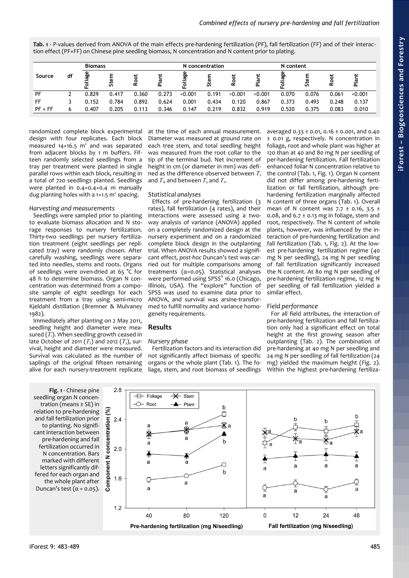<span id="page-2-0"></span>**Tab. 1** - P-values derived from ANOVA of the main effects pre-hardening fertilization (PF), fall fertilization (FF) and of their interac tion effect (PF×FF) on Chinese pine seedling biomass, N concentration and N content prior to plating.

| Source         | df | <b>Biomass</b> |        |        |                                  | N concentration |       |          |                               | N content  |           |       |         |
|----------------|----|----------------|--------|--------|----------------------------------|-----------------|-------|----------|-------------------------------|------------|-----------|-------|---------|
|                |    | ခ်ိန်<br>오     | ω<br>చ | ಕ<br>ě | lant<br>$\overline{\phantom{a}}$ | iage<br>٩       | Stem  | <u>م</u> | 흐<br>$\overline{\phantom{a}}$ | liage<br>오 | ε<br>Stei | 2     | Plant   |
| PF             |    | 0.829          | 0.417  | 0.360  | 0.273                            | < 0.001         | 0.191 | < 0.001  | < 0.001                       | 0.070      | 0.076     | 0.061 | < 0.001 |
| FF             |    | 0.152          | 0.784  | 0.892  | 0.624                            | 0.001           | 0.434 | 0.120    | 0.867                         | 0.373      | 0.493     | 0.248 | 0.137   |
| $PF \times FF$ | 6  | 0.407          | 0.205  | 0.113  | 0.346                            | 0.147           | 0.219 | 0.832    | 0.919                         | 0.520      | 0.375     | 0.083 | 0.010   |

randomized complete block experimental design with four replicates. Each block measured  $14 \times 16.5$  m<sup>2</sup> and was separated from adjacent blocks by 1 m buffers. Fifteen randomly selected seedlings from a tray per treatment were planted in single parallel rows within each block, resulting in a total of 720 seedlings planted. Seedlings were planted in 0.4×0.4×0.4 m manually dug planting holes with a  $1 \times 1.5$  m<sup>2</sup> spacing.

# *Harvesting and measurements*

Seedlings were sampled prior to planting to evaluate biomass allocation and N storage responses to nursery fertilization. Thirty-two seedlings per nursery fertilization treatment (eight seedlings per replicated tray) were randomly chosen. After carefully washing, seedlings were separated into needles, stems and roots. Organs of seedlings were oven-dried at 65 °C for 48 h to determine biomass. Organ N concentration was determined from a composite sample of eight seedlings for each treatment from a tray using semi-micro Kjeldahl distillation (Bremner & Mulvaney 1982).

Immediately after planting on 2 May 2011, seedling height and diameter were measured  $(T_1)$ . When seedling growth ceased in late October of 2011  $(T_2)$  and 2012  $(T_3)$ , survival, height and diameter were measured. Survival was calculated as the number of saplings of the original fifteen remaining alive for each nursery-treatment replicate

at the time of each annual measurement. Diameter was measured at ground rate on each tree stem, and total seedling height was measured from the root collar to the tip of the terminal bud. Net increment of height in cm (or diameter in mm) was defined as the difference observed between  $T_2$ and  $T_1$ , and between  $T_3$  and  $T_2$ .

# *Statistical analyses*

Effects of pre-hardening fertilization (3 rates), fall fertilization (4 rates), and their interactions were assessed using a twoway analysis of variance (ANOVA) applied on a completely randomized design at the nursery experiment and on a randomized complete block design in the outplanting trial. When ANOVA results showed a significant effect, *post-hoc* Duncan's test was carried out for multiple comparisons among treatments (α=0.05). Statistical analyses were performed using SPSS® 16.0 (Chicago, Illinois, USA). The "explore" function of SPSS was used to examine data prior to ANOVA, and survival was arsine-transformed to fulfill normality and variance homogeneity requirements.

# **Results**

# *Nursery phase*

Fertilization factors and its interaction did not significantly affect biomass of specific organs or the whole plant [\(Tab. 1\)](#page-2-0). The foliage, stem, and root biomass of seedlings averaged 0.33 ± 0.01, 0.16 ± 0.001, and 0.40 ± 0.01 g, respectively. N concentration in foliage, root and whole plant was higher at 120 than at 40 and 80 mg N per seedling of per-hardening fertilization. Fall fertilization enhanced foliar N concentration relative to the control [\(Tab. 1,](#page-2-0) [Fig. 1\)](#page-2-1). Organ N content did not differ among pre-hardening fertilization or fall fertilization, although prehardening fertilization marginally affected N content of three organs [\(Tab. 1\)](#page-2-0). Overall mean of N content was  $7.7 \pm 0.16$ ,  $3.5 \pm 1$ 0.08, and  $6.7 \pm 0.13$  mg in foliage, stem and root, respectively. The N content of whole plants, however, was influenced by the interaction of pre-hardening fertilization and fall fertilization [\(Tab. 1,](#page-2-0) [Fig. 2\)](#page-3-0). At the lowest pre-hardening fertilization regime (40 mg N per seedling), 24 mg N per seedling of fall fertilization significantly increased the N content. At 80 mg N per seedling of pre-hardening fertilization regime, 12 mg N per seedling of fall fertilization yielded a similar effect.

# *Field performance*

For all field attributes, the interaction of pre-hardening fertilization and fall fertilization only had a significant effect on total height at the first growing season after outplanting [\(Tab. 2\)](#page-3-1). The combination of pre-hardening at 40 mg N per seedling and 24 mg N per seedling of fall fertilization (24 mg) yielded the maximum height [\(Fig. 2\)](#page-3-0). Within the highest pre-hardening fertiliza-

<span id="page-2-1"></span>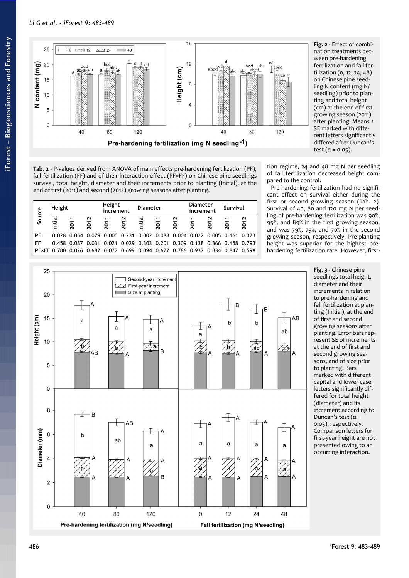

<span id="page-3-0"></span>**Fig. 2** - Effect of combination treatments between pre-hardening fertilization and fall fertilization (0, 12, 24, 48) on Chinese pine seedling N content (mg N/ seedling) prior to planting and total height (cm) at the end of first growing season (2011) after planting. Means ± SE marked with different letters significantly differed after Duncan's test  $(\alpha = 0.05)$ .

<span id="page-3-1"></span>**Tab. 2** - P*-*values derived from ANOVA of main effects pre-hardening fertilization (PF), fall fertilization (FF) and of their interaction effect (PF×FF) on Chinese pine seedlings survival, total height, diameter and their increments prior to planting (Initial), at the end of first (2011) and second (2012) growing seasons after planting.

| Source | Height                  |       |       | Height<br>increment |      | <b>Diameter</b>                                             |      |      | <b>Diameter</b><br>increment |          | <b>Survival</b> |       |
|--------|-------------------------|-------|-------|---------------------|------|-------------------------------------------------------------|------|------|------------------------------|----------|-----------------|-------|
|        | nitial                  | 2011  | 2012  | 2011                | 2012 | nitial                                                      | 2011 | 2012 | ↽<br>201                     | N<br>201 | ᠇<br>201        | 2012  |
| PF     | 0.028                   |       |       |                     |      | 0.054 0.079 0.005 0.231 0.002 0.088 0.004 0.022 0.005 0.161 |      |      |                              |          |                 | 0.373 |
| FF     | 0.458                   | 0 087 | 0.031 | 0.021               |      | 0.029 0.303 0.201 0.309 0.138 0.366 0.458 0.793             |      |      |                              |          |                 |       |
|        | $P$ F $\times$ FF 0.780 | 0.026 |       |                     |      | 0.682 0.077 0.699 0.094 0.677 0.786 0.937 0.834 0.847 0.598 |      |      |                              |          |                 |       |

tion regime, 24 and 48 mg N per seedling of fall fertilization decreased height compared to the control.

Pre-hardening fertilization had no significant effect on survival either during the first or second growing season [\(Tab. 2\)](#page-3-1). Survival of 40, 80 and 120 mg N per seedling of pre-hardening fertilization was 90%, 95%, and 89% in the first growing season, and was 79%, 79%, and 70% in the second growing season, respectively. Pre-planting height was superior for the highest prehardening fertilization rate. However, first-



<span id="page-3-2"></span>**Fig. 3** - Chinese pine seedlings total height, diameter and their increments in relation to pre-hardening and fall fertilization at planting (Initial), at the end of first and second growing seasons after planting. Error bars represent SE of increments at the end of first and second growing seasons, and of size prior to planting. Bars marked with different capital and lower case letters significantly differed for total height (diameter) and its increment according to Duncan's test  $(\alpha =$ 0.05), respectively. Comparison letters for first-year height are not presented owing to an occurring interaction.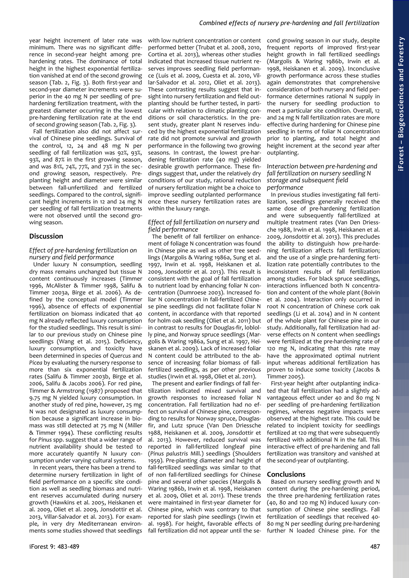## *Combined effects of nursery pre-hardening and fall fertilization*

year height increment of later rate was minimum. There was no significant difference in second-year height among prehardening rates. The dominance of total height in the highest exponential fertilization vanished at end of the second growing season [\(Tab. 2,](#page-3-1) [Fig. 3\)](#page-3-2). Both first-year and second-year diameter increments were superior in the 40 mg N per seedling of prehardening fertilization treatment, with the greatest diameter occurring in the lowest pre-hardening fertilization rate at the end of second growing season [\(Tab. 2,](#page-3-1) [Fig. 3\)](#page-3-2).

Fall fertilization also did not affect survival of Chinese pine seedlings. Survival of the control, 12, 24 and  $48$  mg N per seedling of fall fertilization was 92%, 93%, 93%, and 87% in the first growing season, and was 81%, 74%, 77%, and 73% in the second growing season, respectively. Preplanting height and diameter were similar between fall-unfertilized and fertilized seedlings. Compared to the control, significant height increments in 12 and 24 mg N per seedling of fall fertilization treatments were not observed until the second growing season.

# **Discussion**

## *Effect of pre-hardening fertilization on nursery and field performance*

Under luxury N consumption, seedling dry mass remains unchanged but tissue N content continuously increases (Timmer 1996, McAlister & Timmer 1998, Salifu & Timmer 2003a, Birge et al. 2006). As defined by the conceptual model (Timmer 1996), absence of effects of exponential fertilization on biomass indicated that 40 mg N already reflected luxury consumption for the studied seedlings. This result is similar to our previous study on Chinese pine seedlings (Wang et al. 2015). Deficiency, luxury consumption, and toxicity have been determined in species of *Quercus* and *Picea* by evaluating the nursery response to more than six exponential fertilization rates (Salifu & Timmer 2003b, Birge et al. 2006, Salifu & Jacobs 2006). For red pine, Timmer & Armstrong (1987) proposed that 9.75 mg N yielded luxury consumption. In another study of red pine, however, 25 mg N was not designated as luxury consumption because a significant increase in biomass was still detected at 75 mg N (Miller & Timmer 1994). These conflicting results for *Pinus* spp. suggest that a wider range of nutrient availability should be tested to more accurately quantify N luxury consumption under varying cultural systems.

In recent years, there has been a trend to determine nursery fertilization in light of field performance on a specific site condition as well as seedling biomass and nutrient reserves accumulated during nursery growth (Hawkins et al. 2005, Heiskanen et al. 2009, Oliet et al. 2009, Jonsdottir et al. 2013, Villar-Salvador et al. 2013). For example, in very dry Mediterranean environments some studies showed that seedlings with low nutrient concentration or content performed better (Trubat et al. 2008, 2010, Cortina et al. 2013), whereas other studies indicated that increased tissue nutrient reserves improves seedling field performance (Luis et al. 2009, Cuesta et al. 2010, Villar-Salvador et al. 2012, Oliet et al. 2013). These contrasting results suggest that insight into nursery fertilization and field outplanting should be further tested, in particular with relation to climatic planting conditions or soil characteristics. In the present study, greater plant N reserves induced by the highest exponential fertilization rate did not promote survival and growth performance in the following two growing seasons. In contrast, the lowest pre-hardening fertilization rate (40 mg) yielded desirable growth performance. These findings suggest that, under the relatively dry conditions of our study, rational reduction of nursery fertilization might be a choice to improve seedling outplanted performance once these nursery fertilization rates are within the luxury range.

## *Effect of fall fertilization on nursery and field performance*

The benefit of fall fertilizer on enhancement of foliage N concentration was found in Chinese pine as well as other tree seedlings (Margolis & Waring 1986a, Sung et al. 1997, Irwin et al. 1998, Heiskanen et al. 2009, Jonsdottir et al. 2013). This result is consistent with the goal of fall fertilization to nutrient load by enhancing foliar N concentration (Dumroese 2003). Increased foliar N concentration in fall-fertilized Chinese pine seedlings did not facilitate foliar N content, in accordance with that reported for holm oak seedling (Oliet et al. 2011) but in contrast to results for Douglas-fir, loblolly pine, and Norway spruce seedlings (Margolis & Waring 1986a, Sung et al. 1997, Heiskanen et al. 2009). Lack of increased foliar N content could be attributed to the absence of increasing foliar biomass of fallfertilized seedlings, as per other previous studies (Irwin et al. 1998, Oliet et al. 2011).

The present and earlier findings of fall fertilization indicated mixed survival and growth responses to increased foliar N concentration. Fall fertilization had no effect on survival of Chinese pine, corresponding to results for Norway spruce, Douglasfir, and Lutz spruce (Van Den Driessche 1988, Heiskanen et al. 2009, Jonsdottir et al. 2013). However, reduced survival was reported in fall-fertilized longleaf pine (*Pinus palustris* Mill.) seedlings (Shoulders 1959). Pre-planting diameter and height of fall-fertilized seedlings was similar to that of non fall-fertilized seedlings for Chinese pine and several other species (Margolis & Waring 1986b, Irwin et al. 1998, Heiskanen et al. 2009, Oliet et al. 2011). These trends were maintained in first-year diameter for Chinese pine, which was contrary to that reported for slash pine seedlings (Irwin et al. 1998). For height, favorable effects of fall fertilization did not appear until the second growing season in our study, despite frequent reports of improved first-year height growth in fall fertilized seedlings (Margolis & Waring 1986b, Irwin et al. 1998, Heiskanen et al. 2009). Inconclusive growth performance across these studies again demonstrates that comprehensive consideration of both nursery and field performance determines rational N supply in the nursery for seedling production to meet a particular site condition. Overall, 12 and 24 mg N fall fertilization rates are more effective during hardening for Chinese pine seedling in terms of foliar N concentration prior to planting, and total height and height increment at the second year after outplanting.

*Interaction between pre-hardening and fall fertilization on nursery seedling N storage and subsequent field performance*

In previous studies investigating fall fertilization, seedlings generally received the same dose of pre-hardening fertilization and were subsequently fall-fertilized at multiple treatment rates (Van Den Driessche 1988, Irwin et al. 1998, Heiskanen et al. 2009, Jonsdottir et al. 2013). This precludes the ability to distinguish how pre-hardening fertilization affects fall fertilization; and the use of a single pre-hardening fertilization rate potentially contributes to the inconsistent results of fall fertilization among studies. For black spruce seedlings, interactions influenced both N concentration and content of the whole plant (Boivin et al. 2004). Interaction only occurred in root N concentration of Chinese cork oak seedlings (Li et al. 2014) and in N content of the whole plant for Chinese pine in our study. Additionally, fall fertilization had adverse effects on N content when seedlings were fertilized at the pre-hardening rate of 120 mg N, indicating that this rate may have the approximated optimal nutrient input whereas additional fertilization has proven to induce some toxicity (Jacobs & Timmer 2005).

First-year height after outplanting indicated that fall fertilization had a slightly advantageous effect under 40 and 80 mg N per seedling of pre-hardening fertilization regimes, whereas negative impacts were observed at the highest rate. This could be related to incipient toxicity for seedlings fertilized at 120 mg that were subsequently fertilized with additional N in the fall. This interactive effect of pre-hardening and fall fertilization was transitory and vanished at the second-year of outplanting.

### **Conclusions**

Based on nursery seedling growth and N content during the pre-hardening period, the three pre-hardening fertilization rates (40, 80 and 120 mg N) induced luxury consumption of Chinese pine seedlings. Fall fertilization of seedlings that received 40- 80 mg N per seedling during pre-hardening further N loaded Chinese pine. For the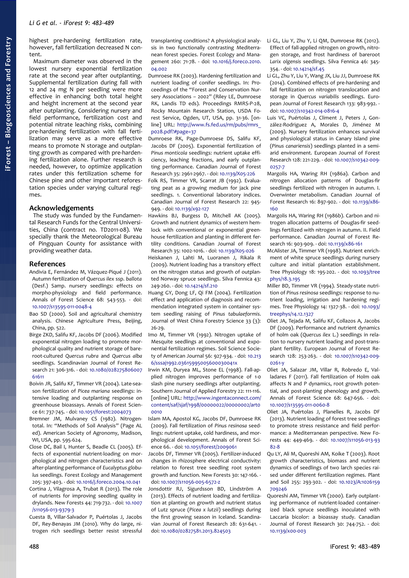highest pre-hardening fertilization rate, however, fall fertilization decreased N content.

Maximum diameter was observed in the lowest nursery exponential fertilization rate at the second year after outplanting. Supplemental fertilization during fall with 12 and 24 mg N per seedling were more effective in enhancing both total height and height increment at the second year after outplanting. Considering nursery and field performance, fertilization cost and potential nitrate leaching risks, combining pre-hardening fertilization with fall fertilization may serve as a more effective means to promote N storage and outplanting growth as compared with pre-hardening fertilization alone. Further research is needed, however, to optimize application rates under this fertilization scheme for Chinese pine and other important reforestation species under varying cultural regimes.

#### **Acknowledgements**

The study was funded by the Fundamental Research Funds for the Central Universities, China (contract no. TD2011-08). We specially thank the Meteorological Bureau of Pingquan County for assistance with providing weather data.

#### **References**

- Andivia E, Fernández M, Vázquez-Piqué J (2011). Autumn fertilization of *Quercus ilex* ssp. *ballota* (Desf.) Samp. nursery seedlings: effects on morpho-physiology and field performance. Annals of Forest Science 68: 543-553. - doi: [10.1007/s13595-011-0048-4](http://dx.doi.org/10.1007/s13595-011-0048-4)
- Bao SD (2000). Soil and agricultural chemistry analysis. Chinese Agriculture Press, Beijing, China, pp. 522.
- Birge ZKD, Salifu KF, Jacobs DF (2006). Modified exponential nitrogen loading to promote morphological quality and nutrient storage of bareroot-cultured *Quercus rubra* and *Quercus alba* seedlings. Scandinavian Journal of Forest Research 21: 306-316. - doi: [10.1080/028275806007](http://dx.doi.org/10.1080/02827580600761611) [61611](http://dx.doi.org/10.1080/02827580600761611)
- Boivin JR, Salifu KF, Timmer VR (2004). Late-season fertilization of *Picea mariana* seedlings: intensive loading and outplanting response on greenhouse bioassays. Annals of Forest Science 61: 737-745. - doi: [10.1051/forest:2004073](http://dx.doi.org/10.1051/forest:2004073)
- Bremner JM, Mulvaney CS (1982). Nitrogentotal. In: "Methods of Soil Analysis" (Page AL ed). American Society of Agronomy, Madison, WI, USA, pp. 595-624.
- Close DC, Bail I, Hunter S, Beadle CL (2005). Effects of exponential nutrient-loading on morphological and nitrogen characteristics and on after-planting performance of *Eucalyptus globulus* seedlings. Forest Ecology and Management 205: 397-403. - doi: [10.1016/j.foreco.2004.10.041](http://dx.doi.org/10.1016/j.foreco.2004.10.041)
- Cortina J, Vilagrosa A, Trubat R (2013). The role of nutrients for improving seedling quality in drylands. New Forests 44: 719-732. - doi: [10.1007](http://dx.doi.org/10.1007/s11056-013-9379-3) [/s11056-013-9379-3](http://dx.doi.org/10.1007/s11056-013-9379-3)
- Cuesta B, Villar-Salvador P, Puértolas J, Jacobs DF, Rey-Benayas JM (2010). Why do large, nitrogen rich seedlings better resist stressful

transplanting conditions? A physiological analysis in two functionally contrasting Mediterranean forest species. Forest Ecology and Management 260: 71-78. - doi: [10.1016/j.foreco.2010.](http://dx.doi.org/10.1016/j.foreco.2010.04.002) [04.002](http://dx.doi.org/10.1016/j.foreco.2010.04.002)

Dumroese RK (2003). Hardening fertilization and nutrient loading of conifer seedlings. In: Proceedings of the "Forest and Conservation Nursery Associations – 2002" (Riley LE, Dumroese RK, Landis TD eds). Proceedings RMRS-P-28, Rocky Mountain Research Station, USDA Forest Service, Ogden, UT, USA, pp. 31-36. [online] URL: [http://www.fs.fed.us/rm/pubs/rmrs\\_](http://www.fs.fed.us/rm/pubs/rmrs_p028.pdf?#page=37) [p028.pdf?#page=37](http://www.fs.fed.us/rm/pubs/rmrs_p028.pdf?#page=37)

- Dumroese RK, Page-Dumroese DS, Salifu KF, Jacobs DF (2005). Exponential fertilization of *Pinus monticola* seedlings: nutrient uptake efficiency, leaching fractions, and early outplanting performance. Canadian Journal of Forest Research 35: 2961-2967. - doi: [10.1139/X05-226](http://dx.doi.org/10.1139/X05-226)
- Folk RS, Timmer VR, Scarrat JB (1992). Evaluating peat as a growing medium for jack pine seedlings. 1. Conventional laboratory indices. Canadian Journal of Forest Research 22: 945- 949. - doi: [10.1139/x92-127](http://dx.doi.org/10.1139/x92-127)
- Hawkins BJ, Burgess D, Mitchell AK (2005). Growth and nutrient dynamics of western hemlock with conventional or exponential greenhouse fertilization and planting in different fertility conditions. Canadian Journal of Forest Research 35: 1002-1016. - doi: [10.1139/X05-026](http://dx.doi.org/10.1139/X05-026)

Heiskanen J, Lahti M, Luoranen J, Rikala R (2009). Nutrient loading has a transitory effect on the nitrogen status and growth of outplanted Norway spruce seedlings. Silva Fennica 43: 249-260. - doi: [10.14214/sf.210](http://dx.doi.org/10.14214/sf.210)

Huang GY, Dong LF, Qi FM (2004). Fertilization effect and application of diagnosis and recommendation integrated system in container system seedling raising of *Pinus tabulaeformis*. Journal of West China Forestry Science 33 (3): 26-29.

Imo M, Timmer VR (1992). Nitrogen uptake of Mesquite seedlings at conventional and exponential fertilization regimes. Soil Science Society of American Journal 56: 927-934. - doi: [10.213](http://dx.doi.org/10.2136/sssaj1992.03615995005600030041x) [6/sssaj1992.03615995005600030041x](http://dx.doi.org/10.2136/sssaj1992.03615995005600030041x)

Irwin KM, Duryea ML, Stone EL (1998). Fall-applied nitrogen improves performance of 1-0 slash pine nursery seedlings after outplanting. Southern Journal of Applied Forestry 22: 111-116. [online] URL: [http://www.ingentaconnect.com/](http://www.ingentaconnect.com/content/saf/sjaf/1998/00000022/00000002/art00010) [content/saf/sjaf/1998/00000022/00000002/art0](http://www.ingentaconnect.com/content/saf/sjaf/1998/00000022/00000002/art00010)  $0010$ 

Islam MA, Apostol KG, Jacobs DF, Dumroese RK (2009). Fall fertilization of *Pinus resinosa* seedlings: nutrient uptake, cold hardiness, and morphological development. Annals of Forest Science 66. - doi: [10.1051/forest/2009061](http://dx.doi.org/10.1051/forest/2009061)

Jacobs DF, Timmer VR (2005). Fertilizer-induced changes in rhizosphere electrical conductivity: relation to forest tree seedling root system growth and function. New Forests 30: 147-166. doi: [10.1007/s11056-005-6572-z](http://dx.doi.org/10.1007/s11056-005-6572-z)

Jonsdottir RJ, Sigurdsson BD, Lindström A (2013). Effects of nutrient loading and fertilization at planting on growth and nutrient status of Lutz spruce (*Picea x lutzii*) seedlings during the first growing season in Iceland. Scandinavian Journal of Forest Research 28: 631-641. doi: [10.1080/02827581.2013.824503](http://dx.doi.org/10.1080/02827581.2013.824503)

- Li GL, Liu Y, Zhu Y, Li QM, Dumroese RK (2012). Effect of fall-applied nitrogen on growth, nitrogen storage, and frost hardiness of bareroot *Larix olgensis* seedlings. Silva Fennica 46: 345- 354. - doi: [10.14214/sf.45](http://dx.doi.org/10.14214/sf.45)
- Li GL, Zhu Y, Liu Y, Wang JX, Liu JJ, Dumroese RK (2014). Combined effects of pre-hardening and fall fertilization on nitrogen translocation and storage in *Quercus variabilis* seedlings. European Journal of Forest Research 133: 983-992. doi: [10.1007/s10342-014-0816-4](http://dx.doi.org/10.1007/s10342-014-0816-4)
- Luis VC, Puértolas J, Climent J, Peters J, González-Rodriguez A, Morales D, Jiménez M (2009). Nursery fertilization enhances survival and physiological status in Canary Island pine (*Pinus canariensis*) seedlings planted in a semiarid environment. European Journal of Forest Research 128: 221-229. - doi: [10.1007/s10342-009-](http://dx.doi.org/10.1007/s10342-009-0257-7) [0257-7](http://dx.doi.org/10.1007/s10342-009-0257-7)
- Margolis HA, Waring RH (1986a). Carbon and nitrogen allocation patterns of Douglas-fir seedlings fertilized with nitrogen in autumn. I. Overwinter metabolism. Canadian Journal of Forest Research 16: 897-902. - doi: [10.1139/x86-](http://dx.doi.org/10.1139/x86-160) [160](http://dx.doi.org/10.1139/x86-160)
- Margolis HA, Waring RH (1986b). Carbon and nitrogen allocation patterns of Douglas-fir seedlings fertilized with nitrogen in autumn. II. Field performance. Canadian Journal of Forest Research 16: 903-909. - doi: [10.1139/x86-161](http://dx.doi.org/10.1139/x86-161)
- McAlister JA, Timmer VR (1998). Nutrient enrichment of white spruce seedlings during nursery culture and initial plantation establishment. Tree Physiology 18: 195-202. - doi: [10.1093/tree](http://dx.doi.org/10.1093/treephys/18.3.195) [phys/18.3.195](http://dx.doi.org/10.1093/treephys/18.3.195)
- Miller BD, Timmer VR (1994). Steady-state nutrition of *Pinus resinosa* seedlings: response to nutrient loading, irrigation and hardening regimes. Tree Physiology 14: 1327-38. - doi: [10.1093/](http://dx.doi.org/10.1093/treephys/14.12.1327) [treephys/14.12.1327](http://dx.doi.org/10.1093/treephys/14.12.1327)
- Oliet JA, Tejada M, Salifu KF, Collazos A, Jacobs DF (2009). Performance and nutrient dynamics of holm oak (*Quercus ilex* L.) seedlings in relation to nursery nutrient loading and post-transplant fertility. European Journal of Forest Research 128: 253-263. - doi: [10.1007/s10342-009-](http://dx.doi.org/10.1007/s10342-009-0261-y)  $0261 - y$
- Oliet JA, Salazar JM, Villar R, Robredo E, Valladares F (2011). Fall fertilization of Holm oak affects N and P dynamics, root growth potential, and post-planting phenology and growth. Annals of Forest Science 68: 647-656. - doi: [10.1007/s13595-011-0060-8](http://dx.doi.org/10.1007/s13595-011-0060-8)
- Oliet JA, Puértolas J, Planelles R, Jacobs DF (2013). Nutrient loading of forest tree seedlings to promote stress resistance and field performance: a Mediterranean perspective. New Forests 44: 449-469. - doi: [10.1007/s11056-013-93](http://dx.doi.org/10.1007/s11056-013-9382-8) [82-8](http://dx.doi.org/10.1007/s11056-013-9382-8)
- Qu LY, Ali M, Quoreshi AM, Koike T (2003). Root growth characteristics, biomass and nutrient dynamics of seedlings of two larch species raised under different fertilization regimes. Plant and Soil 255: 293-302. - doi: [10.1023/A:1026159](http://dx.doi.org/10.1023/A:1026159709246) [709246](http://dx.doi.org/10.1023/A:1026159709246)
- Quoreshi AM, Timmer VR (2000). Early outplanting performance of nutrient-loaded containerized black spruce seedlings inoculated with Laccaria bicolor: a bioassay study. Canadian Journal of Forest Research 30: 744-752. - doi: [10.1139/x00-003](http://dx.doi.org/10.1139/x00-003)